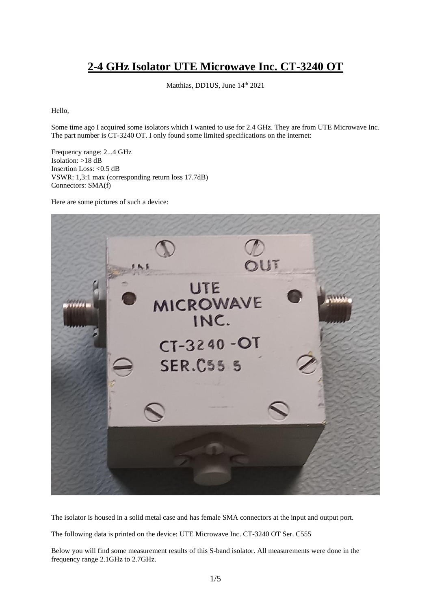## **2-4 GHz Isolator UTE Microwave Inc. CT-3240 OT**

Matthias, DD1US, June 14th 2021

Hello,

Some time ago I acquired some isolators which I wanted to use for 2.4 GHz. They are from UTE Microwave Inc. The part number is CT-3240 OT. I only found some limited specifications on the internet:

Frequency range: 2...4 GHz Isolation: >18 dB Insertion Loss: <0.5 dB VSWR: 1,3:1 max (corresponding return loss 17.7dB) Connectors: SMA(f)

Here are some pictures of such a device:



The isolator is housed in a solid metal case and has female SMA connectors at the input and output port.

The following data is printed on the device: UTE Microwave Inc. CT-3240 OT Ser. C555

Below you will find some measurement results of this S-band isolator. All measurements were done in the frequency range 2.1GHz to 2.7GHz.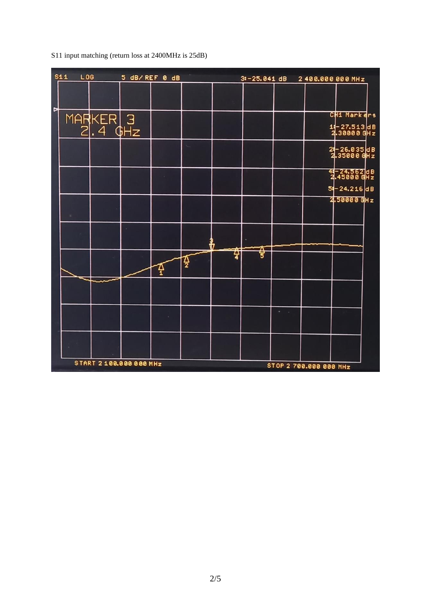$s_{11}$  $L06$ 5 dB/REF 0 dB  $3! - 25.041$  dB 2400.000 000 MHz MARKER 3<br>2.4 GHz CH1 Markers  $18 - 27.513$ dB<br>2.30000 GHz 2-26.035 dB<br>2.35000 GHz -24.562 dB<br>-45000 GHz ر<br>2  $-24.216dB$ 5.  $2.50000$  GHz ₩ 죻 孕  $\frac{1}{2}$  $\Phi$ START 2 100.000 000 MHz STOP 2 700.000 000 MHz

S11 input matching (return loss at 2400MHz is 25dB)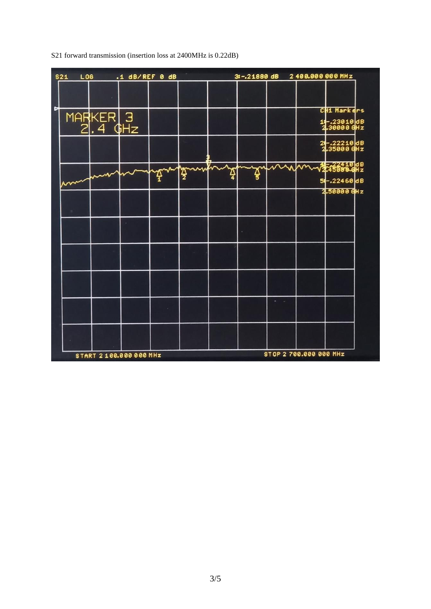| L06<br><b>S21</b> |                     | $.1$ dB/REF 0 dB        |   | 3:-.21880 dB 2400.000 000 MHz |  |      |                        |                            |  |
|-------------------|---------------------|-------------------------|---|-------------------------------|--|------|------------------------|----------------------------|--|
|                   |                     |                         |   |                               |  |      |                        |                            |  |
|                   |                     |                         |   |                               |  |      |                        | CH1 Markers                |  |
|                   | MARKER 3<br>2.4 GHz |                         |   |                               |  |      |                        | 11-23010 dB<br>2.30000 GHz |  |
|                   |                     |                         |   |                               |  |      |                        | 24-22210 dB<br>2.35000 GHz |  |
|                   |                     |                         |   |                               |  | gymn | m                      | √27410d8<br>√27450004Hz    |  |
|                   |                     |                         | ş |                               |  |      |                        | 54-.22460dB                |  |
|                   |                     |                         |   |                               |  |      |                        | 2.50000 GHz                |  |
|                   |                     |                         |   |                               |  |      |                        |                            |  |
|                   |                     |                         |   |                               |  |      |                        |                            |  |
|                   |                     |                         |   |                               |  |      |                        |                            |  |
|                   |                     |                         |   |                               |  |      |                        |                            |  |
|                   |                     |                         |   |                               |  |      |                        |                            |  |
|                   |                     |                         |   |                               |  |      |                        |                            |  |
|                   |                     |                         |   |                               |  |      |                        |                            |  |
|                   |                     |                         |   |                               |  |      |                        |                            |  |
|                   |                     |                         |   |                               |  |      |                        |                            |  |
|                   |                     |                         |   |                               |  |      |                        |                            |  |
|                   |                     | START 2 100.000 000 MHz |   |                               |  |      | STOP 2 700.000 000 MHz |                            |  |

S21 forward transmission (insertion loss at 2400MHz is 0.22dB)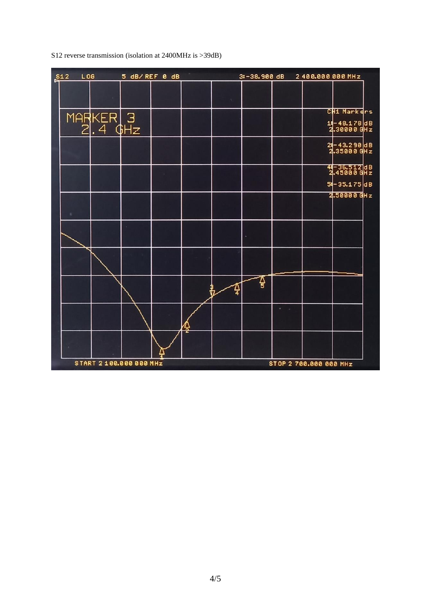

S12 reverse transmission (isolation at 2400MHz is >39dB)